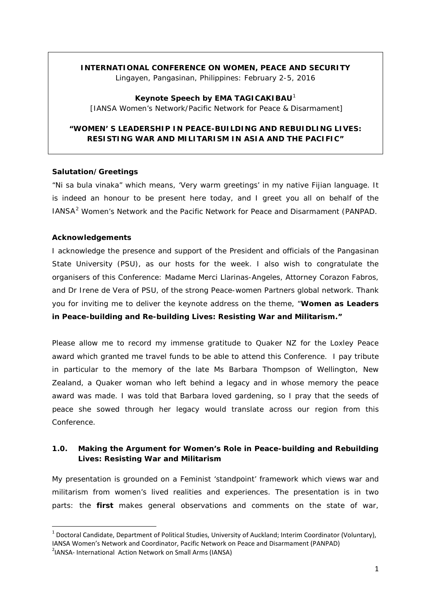# **INTERNATIONAL CONFERENCE ON WOMEN, PEACE AND SECURITY**

*Lingayen, Pangasinan, Philippines: February 2-5, 2016*

**Keynote Speech by EMA TAGICAKIBAU**[1](#page-0-0) [IANSA Women's Network/Pacific Network for Peace & Disarmament]

# **"WOMEN' S LEADERSHIP IN PEACE-BUILDING AND REBUIDLING LIVES: RESISTING WAR AND MILITARISM IN ASIA AND THE PACIFIC"**

### **Salutation/Greetings**

"Ni sa bula vinaka" which means, 'Very warm greetings' in my native Fijian language. It is indeed an honour to be present here today, and I greet you all on behalf of the IANSA<sup>[2](#page-0-1)</sup> Women's Network and the Pacific Network for Peace and Disarmament (PANPAD.

### **Acknowledgements**

I acknowledge the presence and support of the President and officials of the Pangasinan State University (PSU), as our hosts for the week. I also wish to congratulate the organisers of this Conference: Madame Merci Llarinas-Angeles, Attorney Corazon Fabros, and Dr Irene de Vera of PSU, of the strong Peace-women Partners global network. Thank you for inviting me to deliver the keynote address on the theme, "*Women as Leaders in Peace-building and Re-building Lives: Resisting War and Militarism."*

Please allow me to record my immense gratitude to Quaker NZ for the Loxley Peace award which granted me travel funds to be able to attend this Conference. I pay tribute in particular to the memory of the late Ms Barbara Thompson of Wellington, New Zealand, a Quaker woman who left behind a legacy and in whose memory the peace award was made. I was told that Barbara loved gardening, so I pray that the seeds of peace she sowed through her legacy would translate across our region from this Conference.

# **1.0. Making the Argument for Women's Role in Peace-building and Rebuilding Lives: Resisting War and Militarism**

My presentation is grounded on a Feminist 'standpoint' framework which views war and militarism from women's lived realities and experiences. The presentation is in two parts: the **first** makes general observations and comments on the state of war,

<span id="page-0-0"></span> $1$  Doctoral Candidate, Department of Political Studies, University of Auckland; Interim Coordinator (Voluntary), IANSA Women's Network and Coordinator, Pacific Network on Peace and Disarmament (PANPAD)

<span id="page-0-1"></span><sup>&</sup>lt;sup>2</sup>IANSA- International Action Network on Small Arms (IANSA)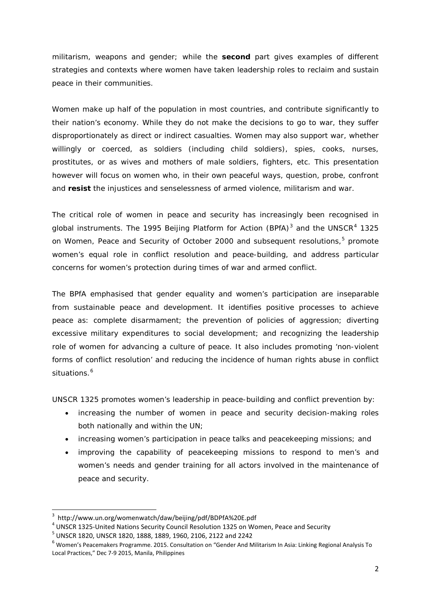militarism, weapons and gender; while the **second** part gives examples of different strategies and contexts where women have taken leadership roles to reclaim and sustain peace in their communities.

Women make up half of the population in most countries, and contribute significantly to their nation's economy. While they do not make the decisions to go to war, they suffer disproportionately as direct or indirect casualties. Women may also support war, whether willingly or coerced, as soldiers (including child soldiers), spies, cooks, nurses, prostitutes, or as wives and mothers of male soldiers, fighters, etc. This presentation however will focus on women who, in their own peaceful ways, question, probe, confront and **resist** the injustices and senselessness of armed violence, militarism and war.

The critical role of women in peace and security has increasingly been recognised in global instruments. The 1995 Beijing Platform for Action (BPfA) $3$  and the UNSCR $4$  1325 on Women, Peace and Security of October 2000 and subsequent resolutions,<sup>[5](#page-1-0)</sup> promote women's equal role in conflict resolution and peace-building, and address particular concerns for women's protection during times of war and armed conflict.

The BPfA emphasised that gender equality and women's participation are inseparable from sustainable peace and development. It identifies positive processes to achieve peace as: complete disarmament; the prevention of policies of aggression; diverting excessive military expenditures to social development; and recognizing the leadership role of women for advancing a culture of peace. It also includes promoting 'non-violent forms of conflict resolution' and reducing the incidence of human rights abuse in conflict situations.<sup>[6](#page-1-0)</sup>

UNSCR 1325 promotes women's leadership in peace-building and conflict prevention by:

- increasing the number of women in peace and security decision-making roles both nationally and within the UN;
- increasing women's participation in peace talks and peacekeeping missions; and
- improving the capability of peacekeeping missions to respond to men's and women's needs and gender training for all actors involved in the maintenance of peace and security.

<span id="page-1-0"></span><sup>&</sup>lt;sup>3</sup> http://www.un.org/womenwatch/daw/beijing/pdf/BDPfA%20E.pdf<br><sup>4</sup> UNSCR 1325-United Nations Security Council Resolution 1325 on Women, Peace and Security<br><sup>5</sup> UNSCR 1820, UNSCR 1820, 1888, 1889, 1960, 2106, 2122 and 2242<br> Local Practices," Dec 7-9 2015, Manila, Philippines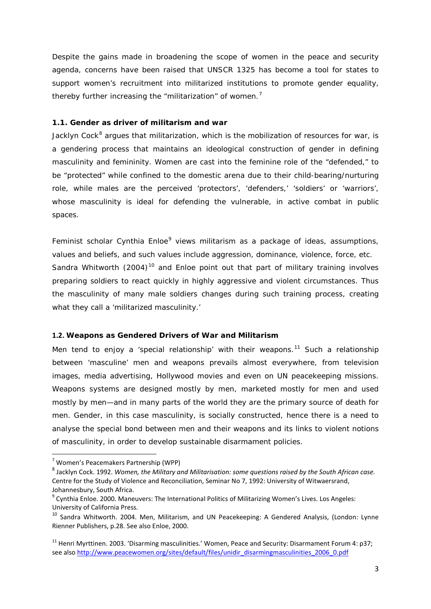Despite the gains made in broadening the scope of women in the peace and security agenda, concerns have been raised that UNSCR 1325 has become a tool for states to support women's recruitment into militarized institutions to promote gender equality, thereby further increasing the "militarization" of women.<sup>[7](#page-2-0)</sup>

# **1.1. Gender as driver of militarism and war**

Jacklyn Cock $<sup>8</sup>$  $<sup>8</sup>$  $<sup>8</sup>$  argues that militarization, which is the mobilization of resources for war, is</sup> a gendering process that maintains an ideological construction of gender in defining masculinity and femininity. Women are cast into the feminine role of the "defended," to be "protected" while confined to the domestic arena due to their child-bearing/nurturing role, while males are the perceived 'protectors', 'defenders,' 'soldiers' or 'warriors', whose masculinity is ideal for defending the vulnerable, in active combat in public spaces.

Feminist scholar Cynthia Enloe<sup>[9](#page-2-0)</sup> views militarism as a package of ideas, assumptions, values and beliefs, and such values include aggression, dominance, violence, force, etc. Sandra Whitworth (2004)<sup>[10](#page-2-0)</sup> and Enloe point out that part of military training involves preparing soldiers to react quickly in highly aggressive and violent circumstances. Thus the masculinity of many male soldiers changes during such training process, creating what they call a 'militarized masculinity.'

#### **1.2. Weapons as Gendered Drivers of War and Militarism**

Men tend to enjoy a 'special relationship' with their weapons.<sup>[11](#page-2-0)</sup> Such a relationship between 'masculine' men and weapons prevails almost everywhere, from television images, media advertising, Hollywood movies and even on UN peacekeeping missions. Weapons systems are designed mostly by men, marketed mostly for men and used mostly by men—and in many parts of the world they are the primary source of death for men. Gender, in this case masculinity, is socially constructed, hence there is a need to analyse the special bond between men and their weapons and its links to violent notions of masculinity, in order to develop sustainable disarmament policies.

<span id="page-2-0"></span> <sup>7</sup> Women's Peacemakers Partnership (WPP)

<sup>8</sup> Jacklyn Cock. 1992. *Women, the Military and Militarisation: some questions raised by the South African case.* Centre for the Study of Violence and Reconciliation, Seminar No 7, 1992: University of Witwaersrand, Johannesbury, South Africa.

<sup>&</sup>lt;sup>9</sup> Cynthia Enloe. 2000. Maneuvers: The International Politics of Militarizing Women's Lives. Los Angeles: University of California Press.

<sup>&</sup>lt;sup>10</sup> Sandra Whitworth. 2004. Men, Militarism, and UN Peacekeeping: A Gendered Analysis, (London: Lynne Rienner Publishers, p.28. See also Enloe, 2000.

<sup>&</sup>lt;sup>11</sup> Henri Myrttinen. 2003. 'Disarming masculinities.' Women, Peace and Security: Disarmament Forum 4: p37; see als[o http://www.peacewomen.org/sites/default/files/unidir\\_disarmingmasculinities\\_2006\\_0.pdf](http://www.peacewomen.org/sites/default/files/unidir_disarmingmasculinities_2006_0.pdf)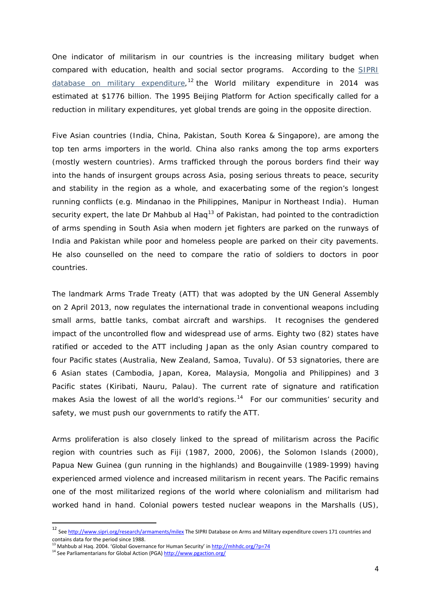One indicator of militarism in our countries is the increasing military budget when compared with education, health and social sector programs. According to the [SIPRI](http://www.sipri.org/research/armaments/milex/sipri-military-expenditure-database/milex_database)  [database on military expenditure,](http://www.sipri.org/research/armaments/milex/sipri-military-expenditure-database/milex_database)<sup>[12](#page-3-0)</sup> the World military expenditure in 2014 was estimated at \$1776 billion. The 1995 Beijing Platform for Action specifically called for a reduction in military expenditures, yet global trends are going in the opposite direction.

Five Asian countries (India, China, Pakistan, South Korea & Singapore), are among the top ten arms importers in the world. China also ranks among the top arms exporters (mostly western countries). Arms trafficked through the porous borders find their way into the hands of insurgent groups across Asia, posing serious threats to peace, security and stability in the region as a whole, and exacerbating some of the region's longest running conflicts (e.g. Mindanao in the Philippines, Manipur in Northeast India). Human security expert, the late Dr Mahbub al Hag<sup>[13](#page-3-0)</sup> of Pakistan, had pointed to the contradiction of arms spending in South Asia when modern jet fighters are parked on the runways of India and Pakistan while poor and homeless people are parked on their city pavements. He also counselled on the need to compare the ratio of soldiers to doctors in poor countries.

The landmark Arms Trade Treaty (ATT) that was adopted by the UN General Assembly on 2 April 2013, now regulates the international trade in conventional weapons including small arms, battle tanks, combat aircraft and warships. It recognises the gendered impact of the uncontrolled flow and widespread use of arms. Eighty two (82) states have ratified or acceded to the ATT including Japan as the only Asian country compared to four Pacific states (Australia, New Zealand, Samoa, Tuvalu). Of 53 signatories, there are 6 Asian states (Cambodia, Japan, Korea, Malaysia, Mongolia and Philippines) and 3 Pacific states (Kiribati, Nauru, Palau). The current rate of signature and ratification makes Asia the lowest of all the world's regions.<sup>14</sup> For our communities' security and safety, we must push our governments to ratify the ATT.

Arms proliferation is also closely linked to the spread of militarism across the Pacific region with countries such as Fiji (1987, 2000, 2006), the Solomon Islands (2000), Papua New Guinea (gun running in the highlands) and Bougainville (1989-1999) having experienced armed violence and increased militarism in recent years. The Pacific remains one of the most militarized regions of the world where colonialism and militarism had worked hand in hand. Colonial powers tested nuclear weapons in the Marshalls (US),

<span id="page-3-0"></span><sup>&</sup>lt;sup>12</sup> Se[e http://www.sipri.org/research/armaments/milex](http://www.sipri.org/research/armaments/milex) The SIPRI Database on Arms and Military expenditure covers 171 countries and contains data for the period since 1988.

<sup>&</sup>lt;sup>13</sup> Mahbub al Hag. 2004. 'Global Governance for Human Security' in<http://mhhdc.org/?p=74>

<sup>&</sup>lt;sup>14</sup> See Parliamentarians for Global Action (PGA[\) http://www.pgaction.org/](http://www.pgaction.org/)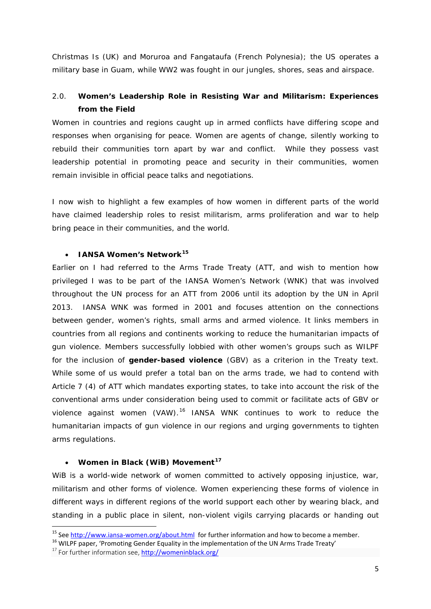Christmas Is (UK) and Moruroa and Fangataufa (French Polynesia); the US operates a military base in Guam, while WW2 was fought in our jungles, shores, seas and airspace.

# 2.0. **Women's Leadership Role in Resisting War and Militarism: Experiences from the Field**

Women in countries and regions caught up in armed conflicts have differing scope and responses when organising for peace. Women are agents of change, silently working to rebuild their communities torn apart by war and conflict. While they possess vast leadership potential in promoting peace and security in their communities, women remain invisible in official peace talks and negotiations.

I now wish to highlight a few examples of how women in different parts of the world have claimed leadership roles to resist militarism, arms proliferation and war to help bring peace in their communities, and the world.

### • **IANSA Women's Network[15](#page-4-0)**

Earlier on I had referred to the Arms Trade Treaty (ATT, and wish to mention how privileged I was to be part of the IANSA Women's Network (WNK) that was involved throughout the UN process for an ATT from 2006 until its adoption by the UN in April 2013. IANSA WNK was formed in 2001 and focuses attention on the connections between gender, women's rights, small arms and armed violence. It links members in countries from all regions and continents working to reduce the humanitarian impacts of gun violence. Members successfully lobbied with other women's groups such as WILPF for the inclusion of **gender-based violence** (GBV) as a criterion in the Treaty text. While some of us would prefer a total ban on the arms trade, we had to contend with Article 7 (4) of ATT which mandates exporting states, to take into account the risk of the conventional arms under consideration being used to commit or facilitate acts of GBV or violence against women (VAW).<sup>[16](#page-4-0)</sup> IANSA WNK continues to work to reduce the humanitarian impacts of gun violence in our regions and urging governments to tighten arms regulations.

#### • **Women in Black (WiB) Movement[17](#page-4-0)**

WiB is a world-wide network of women committed to actively opposing injustice, war, militarism and other forms of violence. Women experiencing these forms of violence in different ways in different regions of the world support each other by wearing black, and standing in a public place in silent, non-violent vigils carrying placards or handing out

<span id="page-4-0"></span><sup>&</sup>lt;sup>15</sup> Se[e http://www.iansa-women.org/about.html](http://www.iansa-women.org/about.html) for further information and how to become a member.<br><sup>16</sup> WILPF paper, 'Promoting Gender Equality in the implementation of the UN Arms Trade Treaty'<br><sup>17</sup> For further informati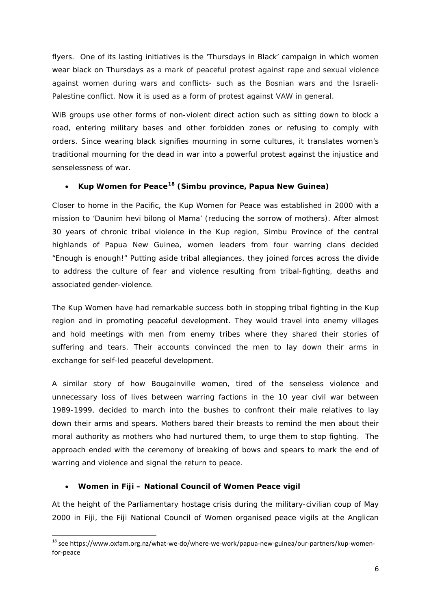flyers. One of its lasting initiatives is the 'Thursdays in Black' campaign in which women wear black on Thursdays as a mark of peaceful protest against rape and sexual violence against women during wars and conflicts- such as the Bosnian wars and the Israeli-Palestine conflict. Now it is used as a form of protest against VAW in general.

WiB groups use other forms of non-violent direct action such as sitting down to block a road, entering military bases and other forbidden zones or refusing to comply with orders. Since wearing black signifies mourning in some cultures, it translates women's traditional mourning for the dead in war into a powerful protest against the injustice and senselessness of war.

# • **Kup Women for Peace[18](#page-5-0) (Simbu province, Papua New Guinea)**

Closer to home in the Pacific, the Kup Women for Peace was established in 2000 with a mission to 'Daunim hevi bilong ol Mama' (reducing the sorrow of mothers). After almost 30 years of chronic tribal violence in the Kup region, Simbu Province of the central highlands of Papua New Guinea, women leaders from four warring clans decided "Enough is enough!" Putting aside tribal allegiances, they joined forces across the divide to address the culture of fear and violence resulting from tribal-fighting, deaths and associated gender-violence.

The Kup Women have had remarkable success both in stopping tribal fighting in the Kup region and in promoting peaceful development. They would travel into enemy villages and hold meetings with men from enemy tribes where they shared their stories of suffering and tears. Their accounts convinced the men to lay down their arms in exchange for self-led peaceful development.

A similar story of how Bougainville women, tired of the senseless violence and unnecessary loss of lives between warring factions in the 10 year civil war between 1989-1999, decided to march into the bushes to confront their male relatives to lay down their arms and spears. Mothers bared their breasts to remind the men about their moral authority as mothers who had nurtured them, to urge them to stop fighting. The approach ended with the ceremony of breaking of bows and spears to mark the end of warring and violence and signal the return to peace.

# • **Women in Fiji – National Council of Women Peace vigil**

At the height of the Parliamentary hostage crisis during the military-civilian coup of May 2000 in Fiji, the Fiji National Council of Women organised peace vigils at the Anglican

<span id="page-5-0"></span> <sup>18</sup> see https://www.oxfam.org.nz/what-we-do/where-we-work/papua-new-guinea/our-partners/kup-womenfor-peace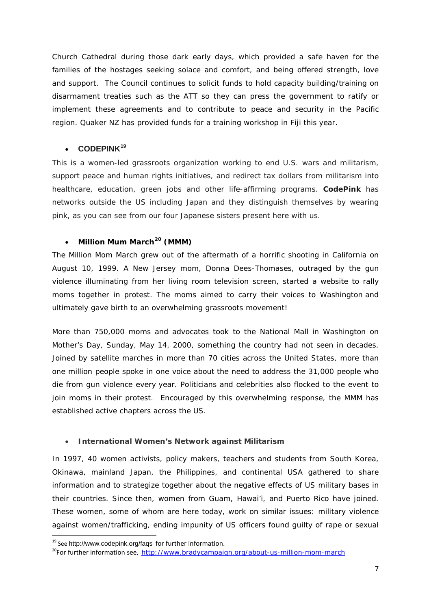Church Cathedral during those dark early days, which provided a safe haven for the families of the hostages seeking solace and comfort, and being offered strength, love and support. The Council continues to solicit funds to hold capacity building/training on disarmament treaties such as the ATT so they can press the government to ratify or implement these agreements and to contribute to peace and security in the Pacific region. Quaker NZ has provided funds for a training workshop in Fiji this year.

# • **CODEPINK[19](#page-6-0)**

This is a women-led grassroots organization working to end U.S. wars and militarism, support peace and human rights initiatives, and redirect tax dollars from militarism into healthcare, education, green jobs and other life-affirming programs. **CodePink** has networks outside the US including Japan and they distinguish themselves by wearing pink, as you can see from our four Japanese sisters present here with us.

# • **Million Mum March[20](#page-6-0) (MMM)**

The Million Mom March grew out of the aftermath of a horrific shooting in California on August 10, 1999. A New Jersey mom, Donna Dees-Thomases, outraged by the gun violence illuminating from her living room television screen, started a website to rally moms together in protest. The moms aimed to carry their voices to Washington and ultimately gave birth to an overwhelming grassroots movement!

More than 750,000 moms and advocates took to the National Mall in Washington on Mother's Day, Sunday, May 14, 2000, something the country had not seen in decades. Joined by satellite marches in more than 70 cities across the United States, more than one million people spoke in one voice about the need to address the 31,000 people who die from gun violence every year. Politicians and celebrities also flocked to the event to join moms in their protest. Encouraged by this overwhelming response, the MMM has established active chapters across the US.

# • **International Women's Network against Militarism**

In 1997, 40 women activists, policy makers, teachers and students from South Korea, Okinawa, mainland Japan, the Philippines, and continental USA gathered to share information and to strategize together about the negative effects of US military bases in their countries. Since then, women from Guam, Hawai'i, and Puerto Rico have joined. These women, some of whom are here today, work on similar issues: military violence against women/trafficking, ending impunity of US officers found guilty of rape or sexual

<span id="page-6-0"></span><sup>&</sup>lt;sup>19</sup> See <http://www.codepink.org/faqs> for further information.

<sup>&</sup>lt;sup>20</sup>For further information see, <http://www.bradycampaign.org/about-us-million-mom-march>